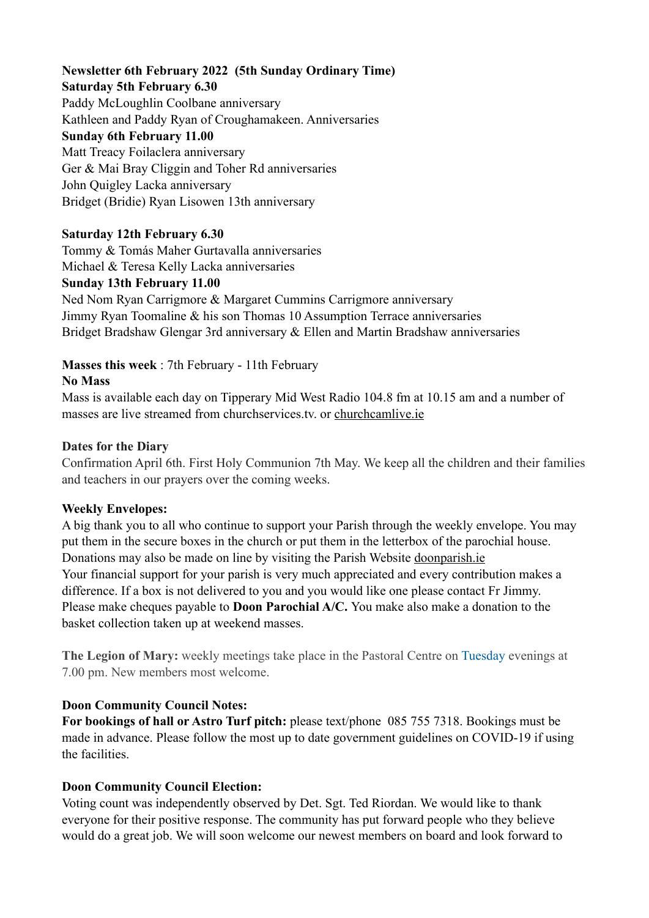#### **Newsletter 6th February 2022 (5th Sunday Ordinary Time) Saturday 5th February 6.30**

# Paddy McLoughlin Coolbane anniversary Kathleen and Paddy Ryan of Croughamakeen. Anniversaries **Sunday 6th February 11.00** Matt Treacy Foilaclera anniversary Ger & Mai Bray Cliggin and Toher Rd anniversaries John Quigley Lacka anniversary Bridget (Bridie) Ryan Lisowen 13th anniversary

## **Saturday 12th February 6.30**

Tommy & Tomás Maher Gurtavalla anniversaries Michael & Teresa Kelly Lacka anniversaries

### **Sunday 13th February 11.00**

Ned Nom Ryan Carrigmore & Margaret Cummins Carrigmore anniversary Jimmy Ryan Toomaline & his son Thomas 10 Assumption Terrace anniversaries Bridget Bradshaw Glengar 3rd anniversary & Ellen and Martin Bradshaw anniversaries

## **Masses this week** : 7th February - 11th February

### **No Mass**

Mass is available each day on Tipperary Mid West Radio 104.8 fm at 10.15 am and a number of masses are live streamed from churchservices.tv. or [churchcamlive.ie](http://churchcamlive.ie)

#### **Dates for the Diary**

Confirmation April 6th. First Holy Communion 7th May. We keep all the children and their families and teachers in our prayers over the coming weeks.

#### **Weekly Envelopes:**

A big thank you to all who continue to support your Parish through the weekly envelope. You may put them in the secure boxes in the church or put them in the letterbox of the parochial house. Donations may also be made on line by visiting the Parish Website [doonparish.ie](http://doonparish.ie) Your financial support for your parish is very much appreciated and every contribution makes a difference. If a box is not delivered to you and you would like one please contact Fr Jimmy. Please make cheques payable to **Doon Parochial A/C.** You make also make a donation to the basket collection taken up at weekend masses.

**The Legion of Mary:** weekly meetings take place in the Pastoral Centre on Tuesday evenings at 7.00 pm. New members most welcome.

## **Doon Community Council Notes:**

**For bookings of hall or Astro Turf pitch:** please text/phone 085 755 7318. Bookings must be made in advance. Please follow the most up to date government guidelines on COVID-19 if using the facilities.

#### **Doon Community Council Election:**

Voting count was independently observed by Det. Sgt. Ted Riordan. We would like to thank everyone for their positive response. The community has put forward people who they believe would do a great job. We will soon welcome our newest members on board and look forward to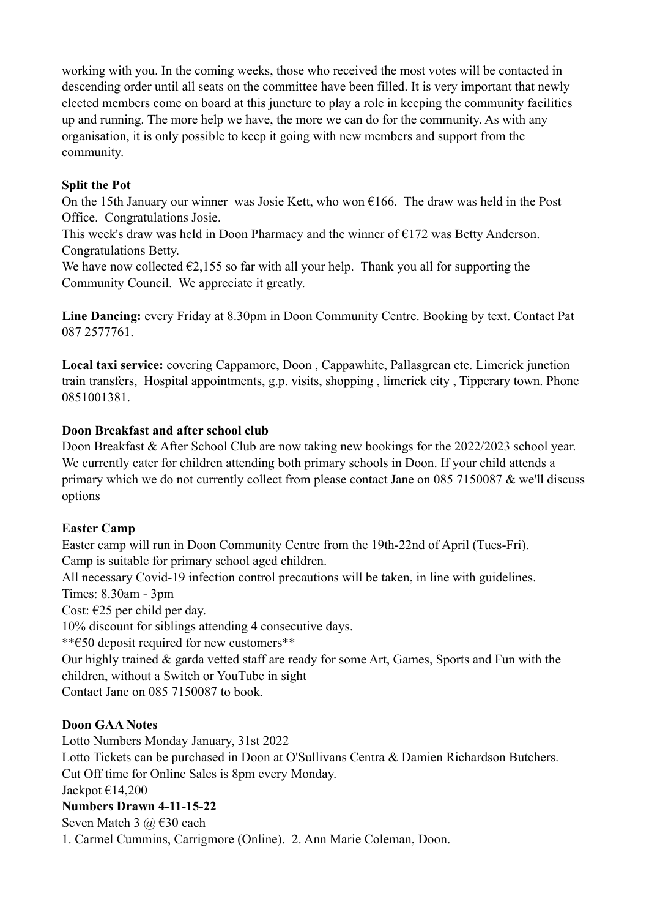working with you. In the coming weeks, those who received the most votes will be contacted in descending order until all seats on the committee have been filled. It is very important that newly elected members come on board at this juncture to play a role in keeping the community facilities up and running. The more help we have, the more we can do for the community. As with any organisation, it is only possible to keep it going with new members and support from the community.

## **Split the Pot**

On the 15th January our winner was Josie Kett, who won  $\epsilon$ 166. The draw was held in the Post Office. Congratulations Josie.

This week's draw was held in Doon Pharmacy and the winner of  $E172$  was Betty Anderson. Congratulations Betty.

We have now collected  $\epsilon$ 2,155 so far with all your help. Thank you all for supporting the Community Council. We appreciate it greatly.

**Line Dancing:** every Friday at 8.30pm in Doon Community Centre. Booking by text. Contact Pat 087 2577761.

**Local taxi service:** covering Cappamore, Doon , Cappawhite, Pallasgrean etc. Limerick junction train transfers, Hospital appointments, g.p. visits, shopping , limerick city , Tipperary town. Phone 0851001381.

## **Doon Breakfast and after school club**

Doon Breakfast & After School Club are now taking new bookings for the 2022/2023 school year. We currently cater for children attending both primary schools in Doon. If your child attends a primary which we do not currently collect from please contact Jane on 085 7150087 & we'll discuss options

# **Easter Camp**

Easter camp will run in Doon Community Centre from the 19th-22nd of April (Tues-Fri). Camp is suitable for primary school aged children. All necessary Covid-19 infection control precautions will be taken, in line with guidelines. Times: 8.30am - 3pm Cost:  $\epsilon$ 25 per child per day. 10% discount for siblings attending 4 consecutive days. \*\*€50 deposit required for new customers\*\* Our highly trained & garda vetted staff are ready for some Art, Games, Sports and Fun with the children, without a Switch or YouTube in sight Contact Jane on 085 7150087 to book.

# **Doon GAA Notes**

Lotto Numbers Monday January, 31st 2022 Lotto Tickets can be purchased in Doon at O'Sullivans Centra & Damien Richardson Butchers. Cut Off time for Online Sales is 8pm every Monday. Jackpot €14,200 **Numbers Drawn 4-11-15-22** Seven Match 3 @ €30 each

1. Carmel Cummins, Carrigmore (Online). 2. Ann Marie Coleman, Doon.